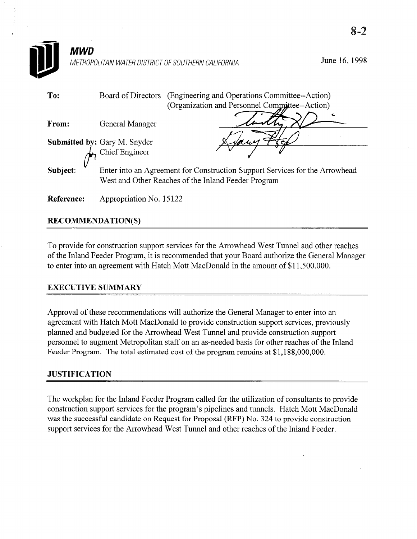| MWD               |                                                              | METROPOLITAN WATER DISTRICT OF SOUTHERN CALIFORNIA                                                                                 | June 16, 1998 |
|-------------------|--------------------------------------------------------------|------------------------------------------------------------------------------------------------------------------------------------|---------------|
| To:               | Board of Directors                                           | (Engineering and Operations Committee--Action)<br>(Organization and Personnel Committee--Action)                                   |               |
| From:             | General Manager                                              |                                                                                                                                    |               |
|                   | <b>Submitted by: Gary M. Snyder</b><br><b>Chief Engineer</b> | A S S S                                                                                                                            |               |
| Subject:          |                                                              | Enter into an Agreement for Construction Support Services for the Arrowhead<br>West and Other Reaches of the Inland Feeder Program |               |
| <b>Reference:</b> | Appropriation No. 15122                                      |                                                                                                                                    |               |

 $\Omega$ <sub>-</sub> $\gamma$ 

## RECOMMENDATION(S)

To provide for construction support services for the Arrowhead West Tunnel and other reaches of the Inland Feeder Program, it is recommended that your Board authorize the General Manager to enter into an agreement with Hatch Mott MacDonald in the amount of \$11,500,000.

#### **EXECUTIVE SUMMARY**

Approval of these recommendations will authorize the General Manager to enter into an agreement with Hatch Mott MacDonald to provide construction support services, previously planned and budgeted for the Arrowhead West Tunnel and provide construction support personnel to augment Metropolitan staff on an as-needed basis for other reaches of the Inland Feeder Program. The total estimated cost of the program remains at \$1,188,000,000.

#### JUSTIFICATION

The workplan for the Inland Feeder Program called for the utilization of consultants to provide construction support services for the program's pipelines and tunnels. Hatch Mott MacDonald was the successful candidate on Request for Proposal (RFP) No. 324 to provide construction support services for the Arrowhead West Tunnel and other reaches of the Inland Feeder.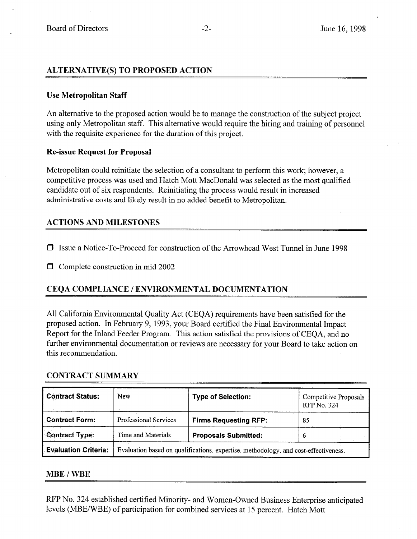### ALTERNATIVE(S) TO PROPOSED ACTION

#### Use Metropolitan Staff

An alternative to the proposed action would be to manage the construction of the subject project using only Metropolitan staff. This alternative would require the hiring and training of personnel with the requisite experience for the duration of this project.

#### Re-issue Request for Proposal

Metropolitan could reinitiate the selection of a consultant to perform this work; however, a competitive process was used and Hatch Mott MacDonald was selected as the most qualified candidate out of six respondents. Reinitiating the process would result in increased administrative costs and likely result in no added benefit to Metropolitan.

#### ACTIONS AND MILESTONES

- 0 Issue a Notice-To-Proceed for construction of the Arrowhead West Tunnel in June 1998
- $\Box$  Complete construction in mid 2002

## CEQA COMPLIANCE / ENVIRONMENTAL DOCUMENTATION

All California Environmental Quality Act (CEQA) requirements have been satisfied for the proposed action. In February 9, 1993, your Board certified the Final Environmental Impact Report for the Inland Feeder Program. This action satisfied the provisions of CEQA, and no further environmental documentation or reviews are necessary for your Board to take action on this recommendation.

#### CONTkACT SUMMARY

| <b>Contract Status:</b>     | New                   | <b>Type of Selection:</b>                                                           | <b>Competitive Proposals</b><br><b>RFP No. 324</b> |  |
|-----------------------------|-----------------------|-------------------------------------------------------------------------------------|----------------------------------------------------|--|
| Contract Form:              | Professional Services | <b>Firms Requesting RFP:</b>                                                        | 85                                                 |  |
| <b>Contract Type:</b>       | Time and Materials    | <b>Proposals Submitted:</b>                                                         | 6                                                  |  |
| <b>Evaluation Criteria:</b> |                       | Evaluation based on qualifications, expertise, methodology, and cost-effectiveness. |                                                    |  |

#### MBE / WBE

RFP No. 324 established certified Minority- and Women-Owned Business Enterprise anticipated levels (MBE/WBE) of participation for combined services at 15 percent. Hatch Mott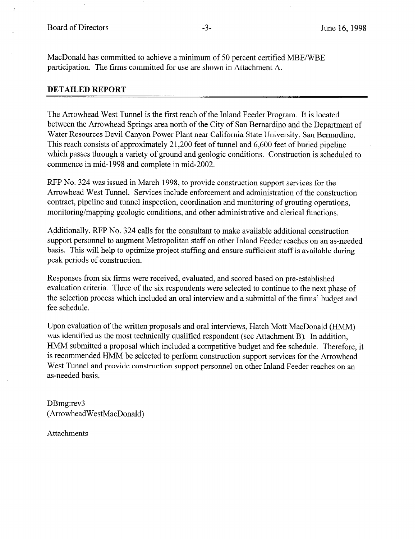MacDonald has committed to achieve a minimum of 50 percent certified MBE/WBE participation. The firms committed for use are shown in Attachment A.

#### DETAILED REPORT

The Arrowhead West Tunnel is the first reach of the Inland Feeder Program. It is located between the Arrowhead Springs area north of the City of San Bernardino and the Department of Water Resources Devil Canyon Power Plant near California State University, San Bernardino. This reach consists of approximately 21,200 feet of tunnel and 6,600 feet of buried pipeline which passes through a variety of ground and geologic conditions. Construction is scheduled to commence in mid-1998 and complete in mid-2002.

RFP No. 324 was issued in March 1998, to provide construction support services for the Arrowhead West Tunnel. Services include enforcement and administration of the construction contract, pipeline and tunnel inspection, coordination and monitoring of grouting operations, monitoring/mapping geologic conditions, and other administrative and clerical functions.

Additionally, RFP No. 324 calls for the consultant to make available additional construction support personnel to augment Metropolitan staff on other Inland Feeder reaches on an as-needed basis. This will help to optimize project staffing and ensure sufficient staff is available during peak periods of construction.

Responses from six firms were received, evaluated, and scored based on pre-established evaluation criteria. Three of the six respondents were selected to continue to the next phase of the selection process which included an oral interview and a submittal of the firms' budget and fee schedule.

Upon evaluation of the written proposals and oral interviews, Hatch Mott MacDonald (HMM) was identified as the most technically qualified respondent (see Attachment B). In addition, HMM submitted a proposal which included a competitive budget and fee schedule. Therefore, it is recommended HMM be selected to perform construction support services for the Arrowhead West Tunnel and provide construction support personnel on other Inland Feeder reaches on an as-needed basis.

DBmg:rev3 (ArrowheadWestMacDonald)

Attachments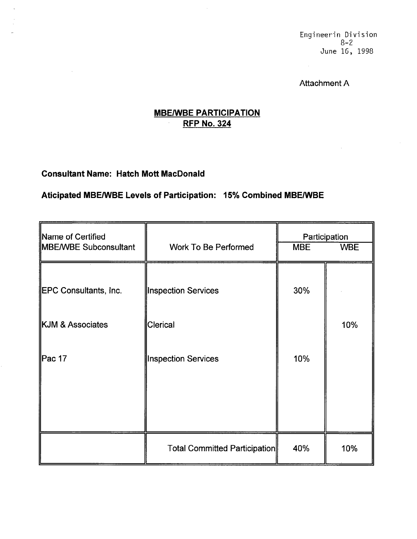## Attachment A

# **MBE/WBE PARTICIPATION** RFP No. 324

# Consultant Name: Hatch Mott MacDonald

 $\sim 10^6$ 

## Aticipated MBE/WBE Levels of Participation: 15% Combined MBE/WBE

| Name of Certified<br>MBE/WBE Subconsultant | <b>Work To Be Performed</b>   | Participation<br><b>MBE</b><br><b>WBE</b> |     |  |
|--------------------------------------------|-------------------------------|-------------------------------------------|-----|--|
|                                            |                               |                                           |     |  |
| EPC Consultants, Inc.                      | Inspection Services           | 30%                                       |     |  |
| KJM & Associates                           | Clerical                      |                                           | 10% |  |
| Pac 17                                     | Inspection Services           | 10%                                       |     |  |
|                                            |                               |                                           |     |  |
|                                            | Total Committed Participation | 40%                                       | 10% |  |